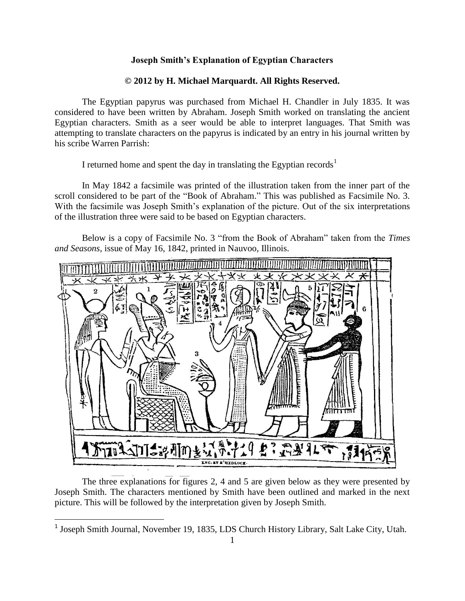## **Joseph Smith's Explanation of Egyptian Characters**

## **© 2012 by H. Michael Marquardt. All Rights Reserved.**

The Egyptian papyrus was purchased from Michael H. Chandler in July 1835. It was considered to have been written by Abraham. Joseph Smith worked on translating the ancient Egyptian characters. Smith as a seer would be able to interpret languages. That Smith was attempting to translate characters on the papyrus is indicated by an entry in his journal written by his scribe Warren Parrish:

I returned home and spent the day in translating the Egyptian records<sup>1</sup>

In May 1842 a facsimile was printed of the illustration taken from the inner part of the scroll considered to be part of the "Book of Abraham." This was published as Facsimile No. 3. With the facsimile was Joseph Smith's explanation of the picture. Out of the six interpretations of the illustration three were said to be based on Egyptian characters.

Below is a copy of Facsimile No. 3 "from the Book of Abraham" taken from the *Times and Seasons*, issue of May 16, 1842, printed in Nauvoo, Illinois.



The three explanations for figures 2, 4 and 5 are given below as they were presented by Joseph Smith. The characters mentioned by Smith have been outlined and marked in the next picture. This will be followed by the interpretation given by Joseph Smith.

l

<sup>&</sup>lt;sup>1</sup> Joseph Smith Journal, November 19, 1835, LDS Church History Library, Salt Lake City, Utah.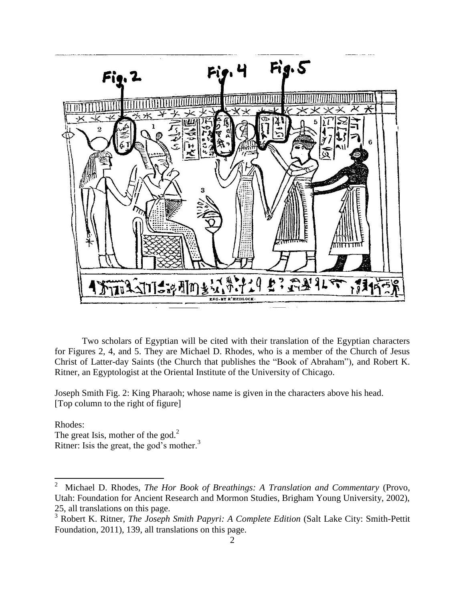

Two scholars of Egyptian will be cited with their translation of the Egyptian characters for Figures 2, 4, and 5. They are Michael D. Rhodes, who is a member of the Church of Jesus Christ of Latter-day Saints (the Church that publishes the "Book of Abraham"), and Robert K. Ritner, an Egyptologist at the Oriental Institute of the University of Chicago.

Joseph Smith Fig. 2: King Pharaoh; whose name is given in the characters above his head. [Top column to the right of figure]

Rhodes: The great Isis, mother of the god. $<sup>2</sup>$ </sup> Ritner: Isis the great, the god's mother. $3$ 

 $\overline{\phantom{a}}$ 

<sup>2</sup> Michael D. Rhodes, *The Hor Book of Breathings: A Translation and Commentary* (Provo, Utah: Foundation for Ancient Research and Mormon Studies, Brigham Young University, 2002), 25, all translations on this page.

<sup>&</sup>lt;sup>3</sup> Robert K. Ritner, *The Joseph Smith Papyri: A Complete Edition* (Salt Lake City: Smith-Pettit Foundation, 2011), 139, all translations on this page.